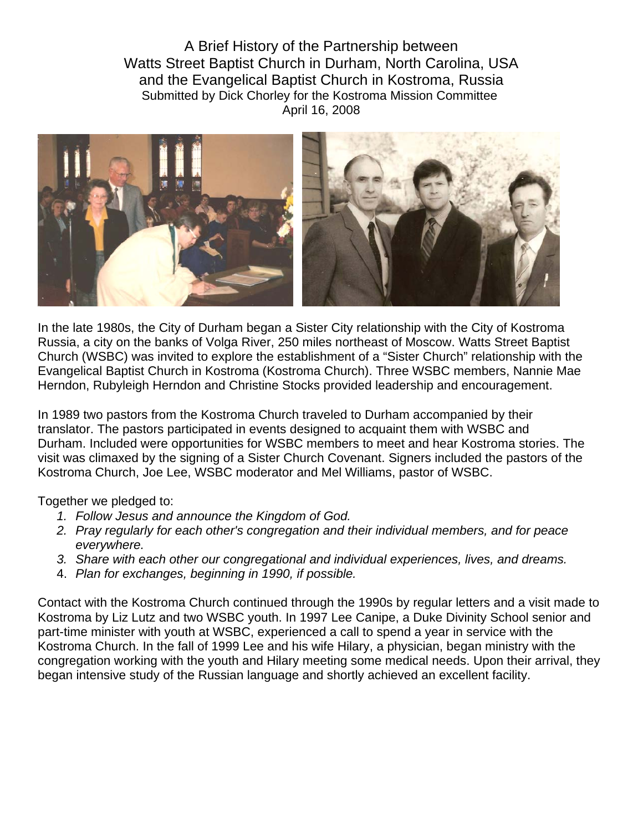A Brief History of the Partnership between Watts Street Baptist Church in Durham, North Carolina, USA and the Evangelical Baptist Church in Kostroma, Russia Submitted by Dick Chorley for the Kostroma Mission Committee April 16, 2008



In the late 1980s, the City of Durham began a Sister City relationship with the City of Kostroma Russia, a city on the banks of Volga River, 250 miles northeast of Moscow. Watts Street Baptist Church (WSBC) was invited to explore the establishment of a "Sister Church" relationship with the Evangelical Baptist Church in Kostroma (Kostroma Church). Three WSBC members, Nannie Mae Herndon, Rubyleigh Herndon and Christine Stocks provided leadership and encouragement.

In 1989 two pastors from the Kostroma Church traveled to Durham accompanied by their translator. The pastors participated in events designed to acquaint them with WSBC and Durham. Included were opportunities for WSBC members to meet and hear Kostroma stories. The visit was climaxed by the signing of a Sister Church Covenant. Signers included the pastors of the Kostroma Church, Joe Lee, WSBC moderator and Mel Williams, pastor of WSBC.

Together we pledged to:

- *1. Follow Jesus and announce the Kingdom of God.*
- *2. Pray regularly for each other's congregation and their individual members, and for peace everywhere.*
- *3. Share with each other our congregational and individual experiences, lives, and dreams.*
- 4. *Plan for exchanges, beginning in 1990, if possible.*

Contact with the Kostroma Church continued through the 1990s by regular letters and a visit made to Kostroma by Liz Lutz and two WSBC youth. In 1997 Lee Canipe, a Duke Divinity School senior and part-time minister with youth at WSBC, experienced a call to spend a year in service with the Kostroma Church. In the fall of 1999 Lee and his wife Hilary, a physician, began ministry with the congregation working with the youth and Hilary meeting some medical needs. Upon their arrival, they began intensive study of the Russian language and shortly achieved an excellent facility.